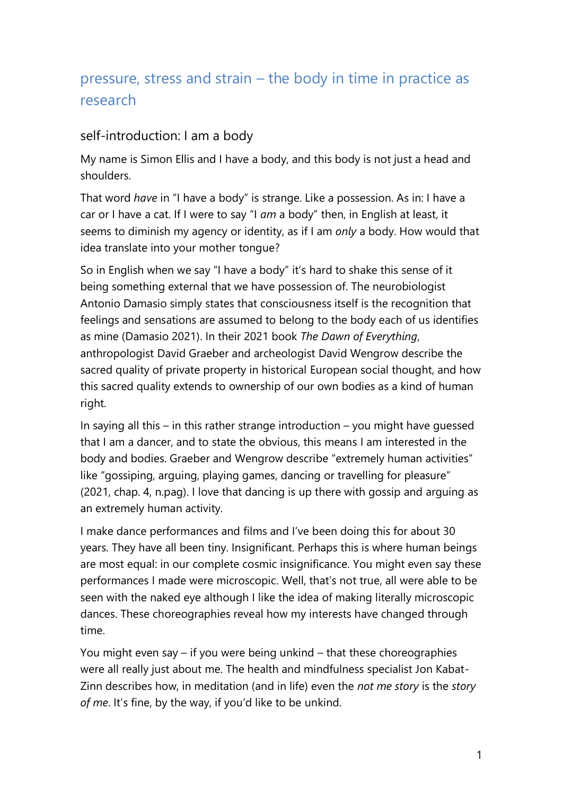# pressure, stress and strain – the body in time in practice as research

#### self-introduction: I am a body

My name is Simon Ellis and I have a body, and this body is not just a head and shoulders.

That word *have* in "I have a body" is strange. Like a possession. As in: I have a car or I have a cat. If I were to say "I *am* a body" then, in English at least, it seems to diminish my agency or identity, as if I am *only* a body. How would that idea translate into your mother tongue?

So in English when we say "I have a body" it's hard to shake this sense of it being something external that we have possession of. The neurobiologist Antonio Damasio simply states that consciousness itself is the recognition that feelings and sensations are assumed to belong to the body each of us identifies as mine (Damasio 2021). In their 2021 book *The Dawn of Everything*, anthropologist David Graeber and archeologist David Wengrow describe the sacred quality of private property in historical European social thought, and how this sacred quality extends to ownership of our own bodies as a kind of human right.

In saying all this – in this rather strange introduction – you might have guessed that I am a dancer, and to state the obvious, this means I am interested in the body and bodies. Graeber and Wengrow describe "extremely human activities" like "gossiping, arguing, playing games, dancing or travelling for pleasure" (2021, chap. 4, n.pag). I love that dancing is up there with gossip and arguing as an extremely human activity.

I make dance performances and films and I've been doing this for about 30 years. They have all been tiny. Insignificant. Perhaps this is where human beings are most equal: in our complete cosmic insignificance. You might even say these performances I made were microscopic. Well, that's not true, all were able to be seen with the naked eye although I like the idea of making literally microscopic dances. These choreographies reveal how my interests have changed through time.

You might even say – if you were being unkind – that these choreographies were all really just about me. The health and mindfulness specialist Jon Kabat-Zinn describes how, in meditation (and in life) even the *not me story* is the *story of me*. It's fine, by the way, if you'd like to be unkind.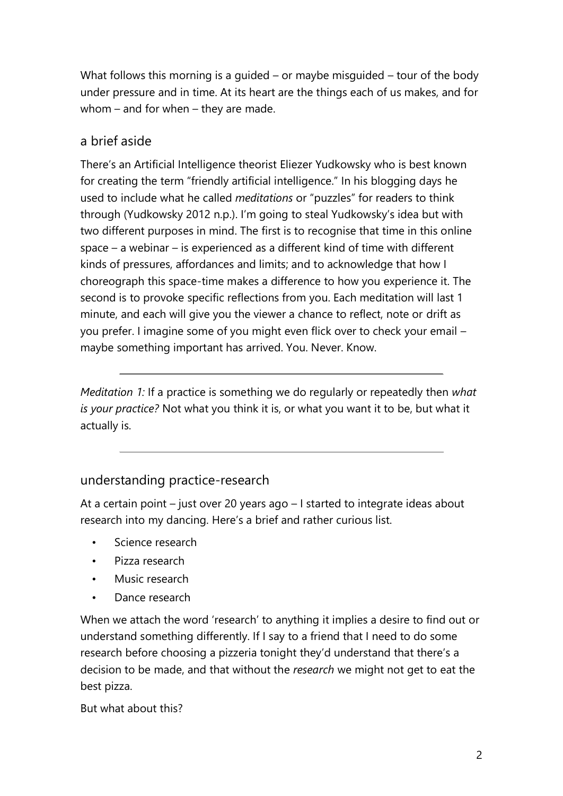What follows this morning is a guided – or maybe misguided – tour of the body under pressure and in time. At its heart are the things each of us makes, and for whom – and for when – they are made.

## a brief aside

There's an Artificial Intelligence theorist Eliezer Yudkowsky who is best known for creating the term "friendly artificial intelligence." In his blogging days he used to include what he called *meditations* or "puzzles" for readers to think through (Yudkowsky 2012 n.p.). I'm going to steal Yudkowsky's idea but with two different purposes in mind. The first is to recognise that time in this online space – a webinar – is experienced as a different kind of time with different kinds of pressures, affordances and limits; and to acknowledge that how I choreograph this space-time makes a difference to how you experience it. The second is to provoke specific reflections from you. Each meditation will last 1 minute, and each will give you the viewer a chance to reflect, note or drift as you prefer. I imagine some of you might even flick over to check your email – maybe something important has arrived. You. Never. Know.

*Meditation 1:* If a practice is something we do regularly or repeatedly then *what is your practice?* Not what you think it is, or what you want it to be, but what it actually is.

## understanding practice-research

At a certain point – just over 20 years ago – I started to integrate ideas about research into my dancing. Here's a brief and rather curious list.

- Science research
- Pizza research
- Music research
- Dance research

When we attach the word 'research' to anything it implies a desire to find out or understand something differently. If I say to a friend that I need to do some research before choosing a pizzeria tonight they'd understand that there's a decision to be made, and that without the *research* we might not get to eat the best pizza.

But what about this?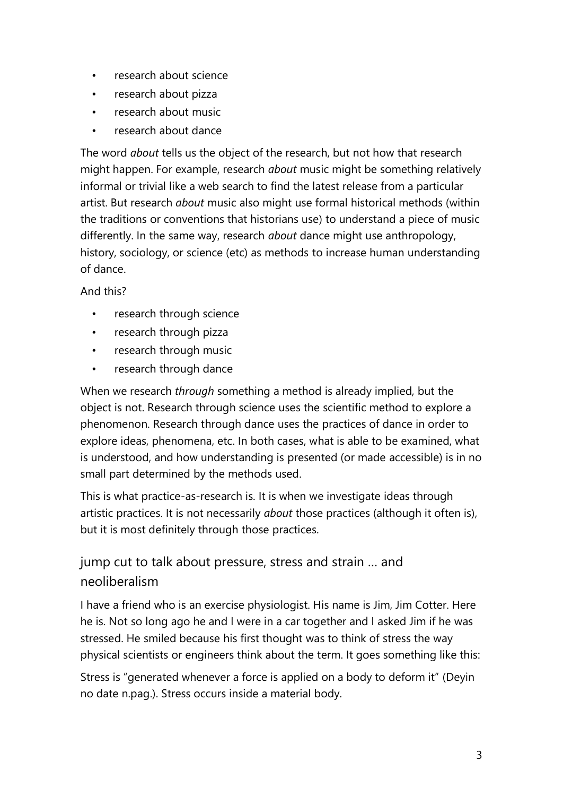- research about science
- research about pizza
- research about music
- research about dance

The word *about* tells us the object of the research, but not how that research might happen. For example, research *about* music might be something relatively informal or trivial like a web search to find the latest release from a particular artist. But research *about* music also might use formal historical methods (within the traditions or conventions that historians use) to understand a piece of music differently. In the same way, research *about* dance might use anthropology, history, sociology, or science (etc) as methods to increase human understanding of dance.

#### And this?

- research through science
- research through pizza
- research through music
- research through dance

When we research *through* something a method is already implied, but the object is not. Research through science uses the scientific method to explore a phenomenon. Research through dance uses the practices of dance in order to explore ideas, phenomena, etc. In both cases, what is able to be examined, what is understood, and how understanding is presented (or made accessible) is in no small part determined by the methods used.

This is what practice-as-research is. It is when we investigate ideas through artistic practices. It is not necessarily *about* those practices (although it often is), but it is most definitely through those practices.

## jump cut to talk about pressure, stress and strain … and neoliberalism

I have a friend who is an exercise physiologist. His name is Jim, Jim Cotter. Here he is. Not so long ago he and I were in a car together and I asked Jim if he was stressed. He smiled because his first thought was to think of stress the way physical scientists or engineers think about the term. It goes something like this:

Stress is "generated whenever a force is applied on a body to deform it" (Deyin no date n.pag.). Stress occurs inside a material body.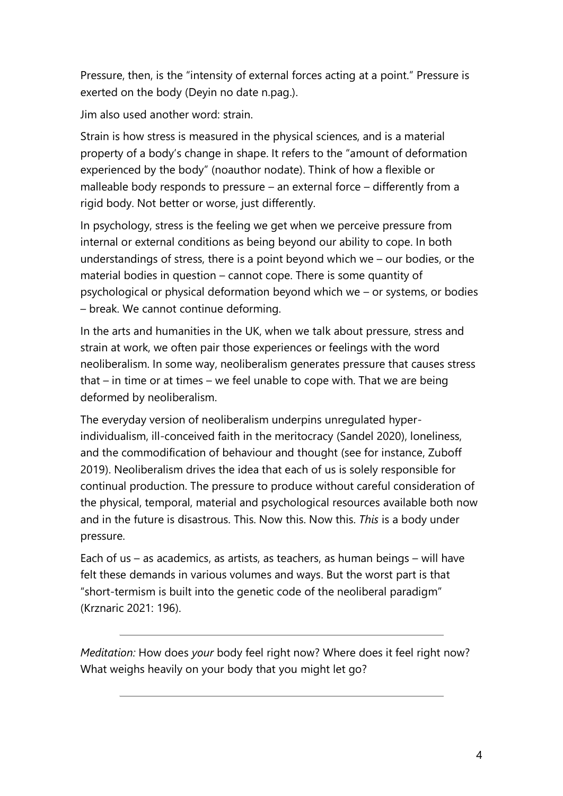Pressure, then, is the "intensity of external forces acting at a point." Pressure is exerted on the body (Deyin no date n.pag.).

Jim also used another word: strain.

Strain is how stress is measured in the physical sciences, and is a material property of a body's change in shape. It refers to the "amount of deformation experienced by the body" (noauthor nodate). Think of how a flexible or malleable body responds to pressure – an external force – differently from a rigid body. Not better or worse, just differently.

In psychology, stress is the feeling we get when we perceive pressure from internal or external conditions as being beyond our ability to cope. In both understandings of stress, there is a point beyond which we – our bodies, or the material bodies in question – cannot cope. There is some quantity of psychological or physical deformation beyond which we – or systems, or bodies – break. We cannot continue deforming.

In the arts and humanities in the UK, when we talk about pressure, stress and strain at work, we often pair those experiences or feelings with the word neoliberalism. In some way, neoliberalism generates pressure that causes stress that – in time or at times – we feel unable to cope with. That we are being deformed by neoliberalism.

The everyday version of neoliberalism underpins unregulated hyperindividualism, ill-conceived faith in the meritocracy (Sandel 2020), loneliness, and the commodification of behaviour and thought (see for instance, Zuboff 2019). Neoliberalism drives the idea that each of us is solely responsible for continual production. The pressure to produce without careful consideration of the physical, temporal, material and psychological resources available both now and in the future is disastrous. This. Now this. Now this. *This* is a body under pressure.

Each of us – as academics, as artists, as teachers, as human beings – will have felt these demands in various volumes and ways. But the worst part is that "short-termism is built into the genetic code of the neoliberal paradigm" (Krznaric 2021: 196).

*Meditation:* How does *your* body feel right now? Where does it feel right now? What weighs heavily on your body that you might let go?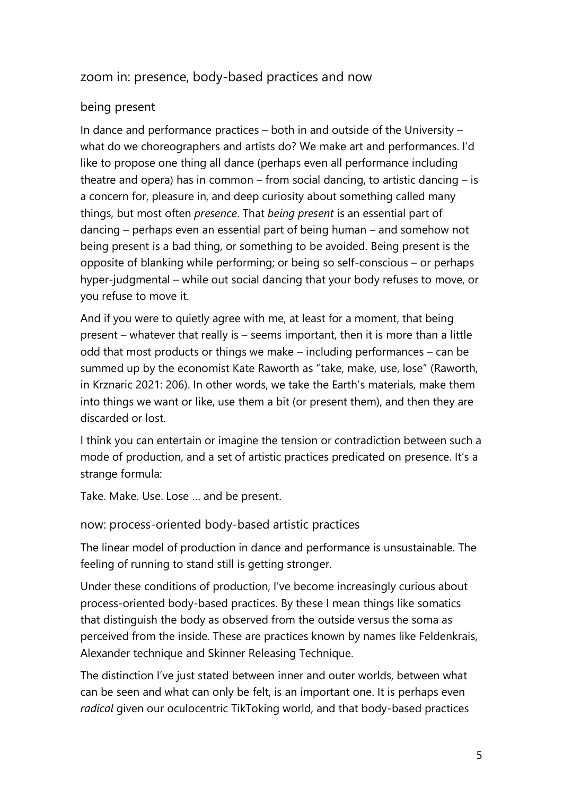## zoom in: presence, body-based practices and now

#### being present

In dance and performance practices – both in and outside of the University – what do we choreographers and artists do? We make art and performances. I'd like to propose one thing all dance (perhaps even all performance including theatre and opera) has in common – from social dancing, to artistic dancing – is a concern for, pleasure in, and deep curiosity about something called many things, but most often *presence*. That *being present* is an essential part of dancing – perhaps even an essential part of being human – and somehow not being present is a bad thing, or something to be avoided. Being present is the opposite of blanking while performing; or being so self-conscious – or perhaps hyper-judgmental – while out social dancing that your body refuses to move, or you refuse to move it.

And if you were to quietly agree with me, at least for a moment, that being present – whatever that really is – seems important, then it is more than a little odd that most products or things we make – including performances – can be summed up by the economist Kate Raworth as "take, make, use, lose" (Raworth, in Krznaric 2021: 206). In other words, we take the Earth's materials, make them into things we want or like, use them a bit (or present them), and then they are discarded or lost.

I think you can entertain or imagine the tension or contradiction between such a mode of production, and a set of artistic practices predicated on presence. It's a strange formula:

Take. Make. Use. Lose … and be present.

now: process-oriented body-based artistic practices

The linear model of production in dance and performance is unsustainable. The feeling of running to stand still is getting stronger.

Under these conditions of production, I've become increasingly curious about process-oriented body-based practices. By these I mean things like somatics that distinguish the body as observed from the outside versus the soma as perceived from the inside. These are practices known by names like Feldenkrais, Alexander technique and Skinner Releasing Technique.

The distinction I've just stated between inner and outer worlds, between what can be seen and what can only be felt, is an important one. It is perhaps even *radical* given our oculocentric TikToking world, and that body-based practices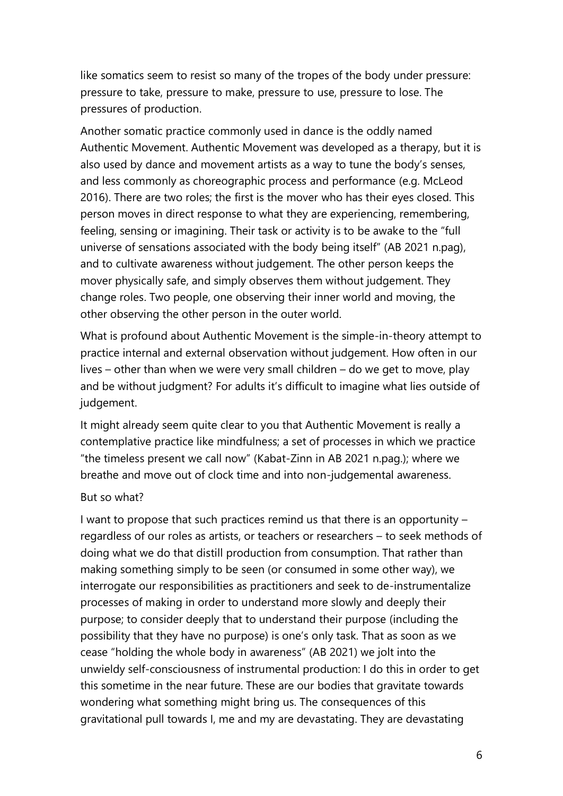like somatics seem to resist so many of the tropes of the body under pressure: pressure to take, pressure to make, pressure to use, pressure to lose. The pressures of production.

Another somatic practice commonly used in dance is the oddly named Authentic Movement. Authentic Movement was developed as a therapy, but it is also used by dance and movement artists as a way to tune the body's senses, and less commonly as choreographic process and performance (e.g. McLeod 2016). There are two roles; the first is the mover who has their eyes closed. This person moves in direct response to what they are experiencing, remembering, feeling, sensing or imagining. Their task or activity is to be awake to the "full universe of sensations associated with the body being itself" (AB 2021 n.pag), and to cultivate awareness without judgement. The other person keeps the mover physically safe, and simply observes them without judgement. They change roles. Two people, one observing their inner world and moving, the other observing the other person in the outer world.

What is profound about Authentic Movement is the simple-in-theory attempt to practice internal and external observation without judgement. How often in our lives – other than when we were very small children – do we get to move, play and be without judgment? For adults it's difficult to imagine what lies outside of judgement.

It might already seem quite clear to you that Authentic Movement is really a contemplative practice like mindfulness; a set of processes in which we practice "the timeless present we call now" (Kabat-Zinn in AB 2021 n.pag.); where we breathe and move out of clock time and into non-judgemental awareness.

#### But so what?

I want to propose that such practices remind us that there is an opportunity – regardless of our roles as artists, or teachers or researchers – to seek methods of doing what we do that distill production from consumption. That rather than making something simply to be seen (or consumed in some other way), we interrogate our responsibilities as practitioners and seek to de-instrumentalize processes of making in order to understand more slowly and deeply their purpose; to consider deeply that to understand their purpose (including the possibility that they have no purpose) is one's only task. That as soon as we cease "holding the whole body in awareness" (AB 2021) we jolt into the unwieldy self-consciousness of instrumental production: I do this in order to get this sometime in the near future. These are our bodies that gravitate towards wondering what something might bring us. The consequences of this gravitational pull towards I, me and my are devastating. They are devastating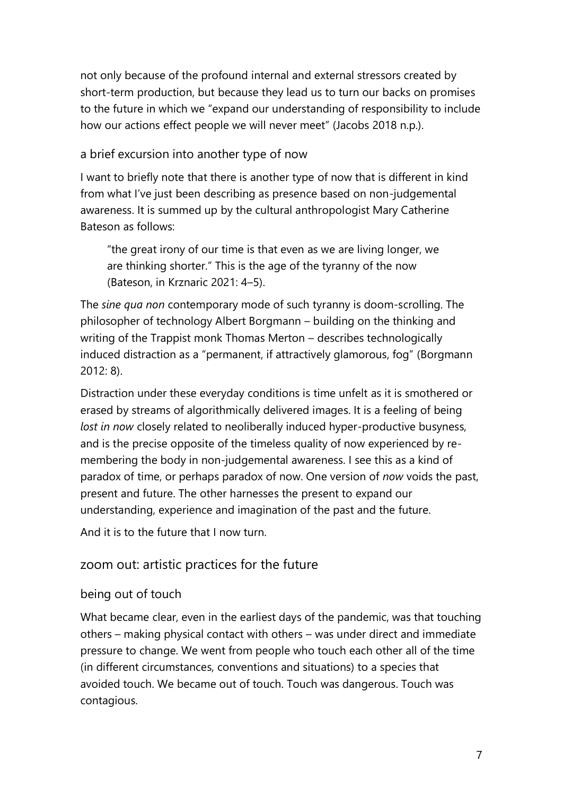not only because of the profound internal and external stressors created by short-term production, but because they lead us to turn our backs on promises to the future in which we "expand our understanding of responsibility to include how our actions effect people we will never meet" (Jacobs 2018 n.p.).

#### a brief excursion into another type of now

I want to briefly note that there is another type of now that is different in kind from what I've just been describing as presence based on non-judgemental awareness. It is summed up by the cultural anthropologist Mary Catherine Bateson as follows:

"the great irony of our time is that even as we are living longer, we are thinking shorter." This is the age of the tyranny of the now (Bateson, in Krznaric 2021: 4–5).

The *sine qua non* contemporary mode of such tyranny is doom-scrolling. The philosopher of technology Albert Borgmann – building on the thinking and writing of the Trappist monk Thomas Merton – describes technologically induced distraction as a "permanent, if attractively glamorous, fog" (Borgmann 2012: 8).

Distraction under these everyday conditions is time unfelt as it is smothered or erased by streams of algorithmically delivered images. It is a feeling of being *lost in now* closely related to neoliberally induced hyper-productive busyness, and is the precise opposite of the timeless quality of now experienced by remembering the body in non-judgemental awareness. I see this as a kind of paradox of time, or perhaps paradox of now. One version of *now* voids the past, present and future. The other harnesses the present to expand our understanding, experience and imagination of the past and the future.

And it is to the future that I now turn.

## zoom out: artistic practices for the future

#### being out of touch

What became clear, even in the earliest days of the pandemic, was that touching others – making physical contact with others – was under direct and immediate pressure to change. We went from people who touch each other all of the time (in different circumstances, conventions and situations) to a species that avoided touch. We became out of touch. Touch was dangerous. Touch was contagious.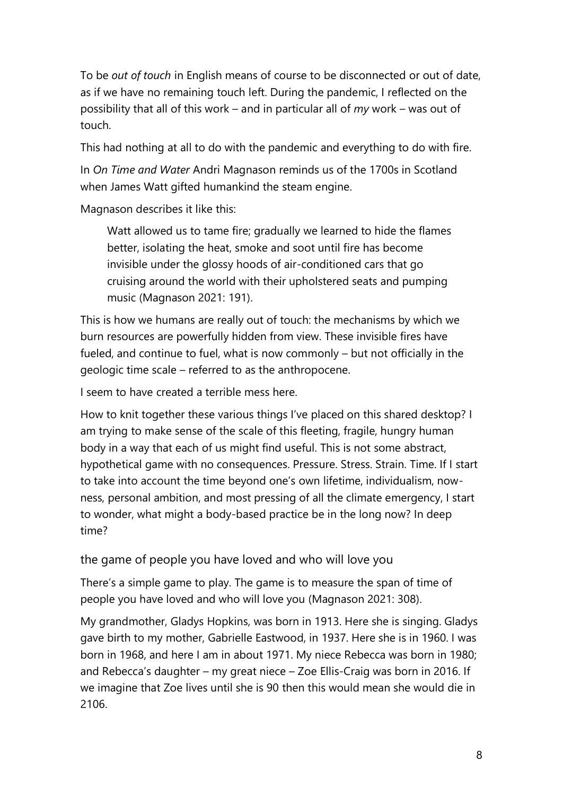To be *out of touch* in English means of course to be disconnected or out of date, as if we have no remaining touch left. During the pandemic, I reflected on the possibility that all of this work – and in particular all of *my* work – was out of touch.

This had nothing at all to do with the pandemic and everything to do with fire.

In *On Time and Water* Andri Magnason reminds us of the 1700s in Scotland when James Watt gifted humankind the steam engine.

Magnason describes it like this:

Watt allowed us to tame fire; gradually we learned to hide the flames better, isolating the heat, smoke and soot until fire has become invisible under the glossy hoods of air-conditioned cars that go cruising around the world with their upholstered seats and pumping music (Magnason 2021: 191).

This is how we humans are really out of touch: the mechanisms by which we burn resources are powerfully hidden from view. These invisible fires have fueled, and continue to fuel, what is now commonly – but not officially in the geologic time scale – referred to as the anthropocene.

I seem to have created a terrible mess here.

How to knit together these various things I've placed on this shared desktop? I am trying to make sense of the scale of this fleeting, fragile, hungry human body in a way that each of us might find useful. This is not some abstract, hypothetical game with no consequences. Pressure. Stress. Strain. Time. If I start to take into account the time beyond one's own lifetime, individualism, nowness, personal ambition, and most pressing of all the climate emergency, I start to wonder, what might a body-based practice be in the long now? In deep time?

the game of people you have loved and who will love you

There's a simple game to play. The game is to measure the span of time of people you have loved and who will love you (Magnason 2021: 308).

My grandmother, Gladys Hopkins, was born in 1913. Here she is singing. Gladys gave birth to my mother, Gabrielle Eastwood, in 1937. Here she is in 1960. I was born in 1968, and here I am in about 1971. My niece Rebecca was born in 1980; and Rebecca's daughter – my great niece – Zoe Ellis-Craig was born in 2016. If we imagine that Zoe lives until she is 90 then this would mean she would die in 2106.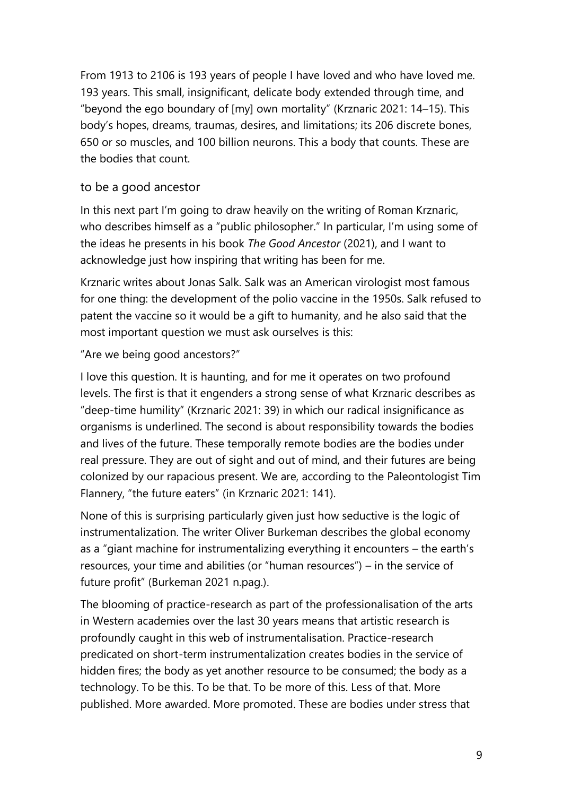From 1913 to 2106 is 193 years of people I have loved and who have loved me. 193 years. This small, insignificant, delicate body extended through time, and "beyond the ego boundary of [my] own mortality" (Krznaric 2021: 14–15). This body's hopes, dreams, traumas, desires, and limitations; its 206 discrete bones, 650 or so muscles, and 100 billion neurons. This a body that counts. These are the bodies that count.

#### to be a good ancestor

In this next part I'm going to draw heavily on the writing of Roman Krznaric, who describes himself as a "public philosopher." In particular, I'm using some of the ideas he presents in his book *The Good Ancestor* (2021), and I want to acknowledge just how inspiring that writing has been for me.

Krznaric writes about Jonas Salk. Salk was an American virologist most famous for one thing: the development of the polio vaccine in the 1950s. Salk refused to patent the vaccine so it would be a gift to humanity, and he also said that the most important question we must ask ourselves is this:

"Are we being good ancestors?"

I love this question. It is haunting, and for me it operates on two profound levels. The first is that it engenders a strong sense of what Krznaric describes as "deep-time humility" (Krznaric 2021: 39) in which our radical insignificance as organisms is underlined. The second is about responsibility towards the bodies and lives of the future. These temporally remote bodies are the bodies under real pressure. They are out of sight and out of mind, and their futures are being colonized by our rapacious present. We are, according to the Paleontologist Tim Flannery, "the future eaters" (in Krznaric 2021: 141).

None of this is surprising particularly given just how seductive is the logic of instrumentalization. The writer Oliver Burkeman describes the global economy as a "giant machine for instrumentalizing everything it encounters – the earth's resources, your time and abilities (or "human resources") – in the service of future profit" (Burkeman 2021 n.pag.).

The blooming of practice-research as part of the professionalisation of the arts in Western academies over the last 30 years means that artistic research is profoundly caught in this web of instrumentalisation. Practice-research predicated on short-term instrumentalization creates bodies in the service of hidden fires; the body as yet another resource to be consumed; the body as a technology. To be this. To be that. To be more of this. Less of that. More published. More awarded. More promoted. These are bodies under stress that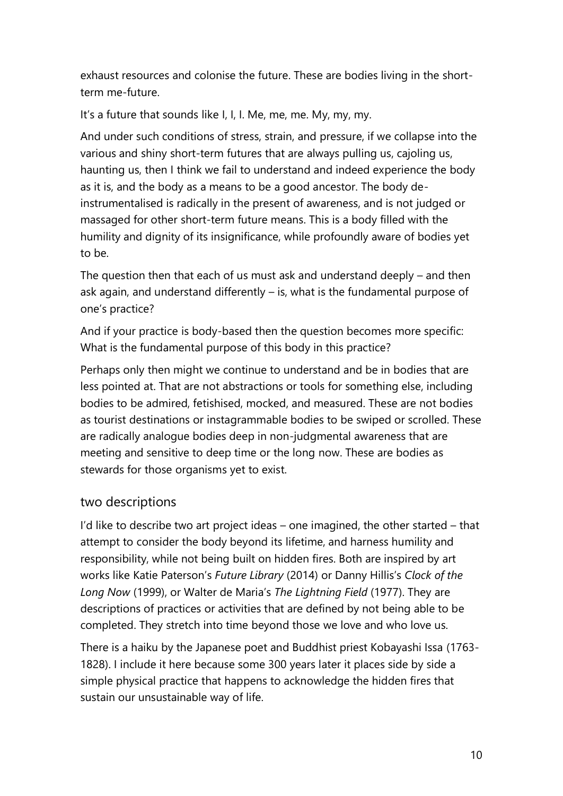exhaust resources and colonise the future. These are bodies living in the shortterm me-future.

It's a future that sounds like I, I, I. Me, me, me. My, my, my.

And under such conditions of stress, strain, and pressure, if we collapse into the various and shiny short-term futures that are always pulling us, cajoling us, haunting us, then I think we fail to understand and indeed experience the body as it is, and the body as a means to be a good ancestor. The body deinstrumentalised is radically in the present of awareness, and is not judged or massaged for other short-term future means. This is a body filled with the humility and dignity of its insignificance, while profoundly aware of bodies yet to be.

The question then that each of us must ask and understand deeply – and then ask again, and understand differently – is, what is the fundamental purpose of one's practice?

And if your practice is body-based then the question becomes more specific: What is the fundamental purpose of this body in this practice?

Perhaps only then might we continue to understand and be in bodies that are less pointed at. That are not abstractions or tools for something else, including bodies to be admired, fetishised, mocked, and measured. These are not bodies as tourist destinations or instagrammable bodies to be swiped or scrolled. These are radically analogue bodies deep in non-judgmental awareness that are meeting and sensitive to deep time or the long now. These are bodies as stewards for those organisms yet to exist.

## two descriptions

I'd like to describe two art project ideas – one imagined, the other started – that attempt to consider the body beyond its lifetime, and harness humility and responsibility, while not being built on hidden fires. Both are inspired by art works like Katie Paterson's *Future Library* (2014) or Danny Hillis's *Clock of the Long Now* (1999), or Walter de Maria's *The Lightning Field* (1977). They are descriptions of practices or activities that are defined by not being able to be completed. They stretch into time beyond those we love and who love us.

There is a haiku by the Japanese poet and Buddhist priest Kobayashi Issa (1763- 1828). I include it here because some 300 years later it places side by side a simple physical practice that happens to acknowledge the hidden fires that sustain our unsustainable way of life.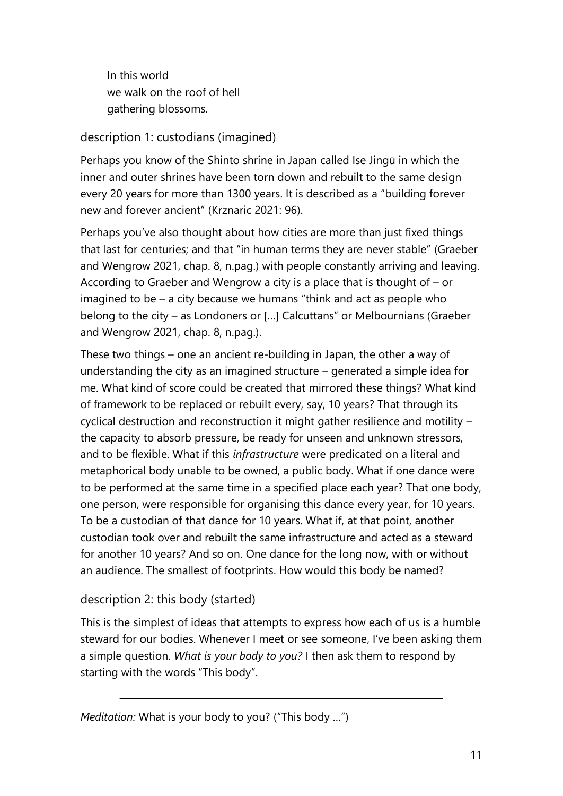In this world we walk on the roof of hell gathering blossoms.

#### description 1: custodians (imagined)

Perhaps you know of the Shinto shrine in Japan called Ise Jingū in which the inner and outer shrines have been torn down and rebuilt to the same design every 20 years for more than 1300 years. It is described as a "building forever new and forever ancient" (Krznaric 2021: 96).

Perhaps you've also thought about how cities are more than just fixed things that last for centuries; and that "in human terms they are never stable" (Graeber and Wengrow 2021, chap. 8, n.pag.) with people constantly arriving and leaving. According to Graeber and Wengrow a city is a place that is thought of – or imagined to be – a city because we humans "think and act as people who belong to the city – as Londoners or […] Calcuttans" or Melbournians (Graeber and Wengrow 2021, chap. 8, n.pag.).

These two things – one an ancient re-building in Japan, the other a way of understanding the city as an imagined structure – generated a simple idea for me. What kind of score could be created that mirrored these things? What kind of framework to be replaced or rebuilt every, say, 10 years? That through its cyclical destruction and reconstruction it might gather resilience and motility – the capacity to absorb pressure, be ready for unseen and unknown stressors, and to be flexible. What if this *infrastructure* were predicated on a literal and metaphorical body unable to be owned, a public body. What if one dance were to be performed at the same time in a specified place each year? That one body, one person, were responsible for organising this dance every year, for 10 years. To be a custodian of that dance for 10 years. What if, at that point, another custodian took over and rebuilt the same infrastructure and acted as a steward for another 10 years? And so on. One dance for the long now, with or without an audience. The smallest of footprints. How would this body be named?

#### description 2: this body (started)

This is the simplest of ideas that attempts to express how each of us is a humble steward for our bodies. Whenever I meet or see someone, I've been asking them a simple question. *What is your body to you?* I then ask them to respond by starting with the words "This body".

*Meditation:* What is your body to you? ("This body …")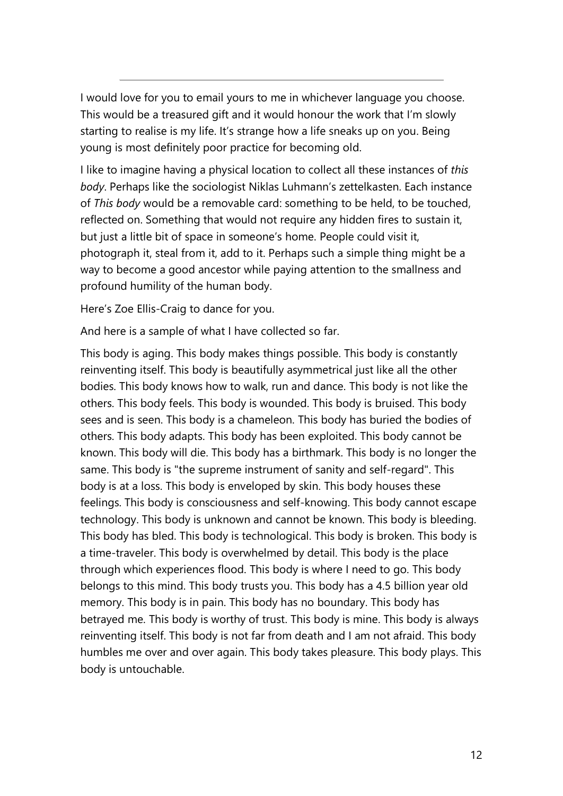I would love for you to email yours to me in whichever language you choose. This would be a treasured gift and it would honour the work that I'm slowly starting to realise is my life. It's strange how a life sneaks up on you. Being young is most definitely poor practice for becoming old.

I like to imagine having a physical location to collect all these instances of *this body*. Perhaps like the sociologist Niklas Luhmann's zettelkasten. Each instance of *This body* would be a removable card: something to be held, to be touched, reflected on. Something that would not require any hidden fires to sustain it, but just a little bit of space in someone's home. People could visit it, photograph it, steal from it, add to it. Perhaps such a simple thing might be a way to become a good ancestor while paying attention to the smallness and profound humility of the human body.

Here's Zoe Ellis-Craig to dance for you.

And here is a sample of what I have collected so far.

This body is aging. This body makes things possible. This body is constantly reinventing itself. This body is beautifully asymmetrical just like all the other bodies. This body knows how to walk, run and dance. This body is not like the others. This body feels. This body is wounded. This body is bruised. This body sees and is seen. This body is a chameleon. This body has buried the bodies of others. This body adapts. This body has been exploited. This body cannot be known. This body will die. This body has a birthmark. This body is no longer the same. This body is "the supreme instrument of sanity and self-regard". This body is at a loss. This body is enveloped by skin. This body houses these feelings. This body is consciousness and self-knowing. This body cannot escape technology. This body is unknown and cannot be known. This body is bleeding. This body has bled. This body is technological. This body is broken. This body is a time-traveler. This body is overwhelmed by detail. This body is the place through which experiences flood. This body is where I need to go. This body belongs to this mind. This body trusts you. This body has a 4.5 billion year old memory. This body is in pain. This body has no boundary. This body has betrayed me. This body is worthy of trust. This body is mine. This body is always reinventing itself. This body is not far from death and I am not afraid. This body humbles me over and over again. This body takes pleasure. This body plays. This body is untouchable.